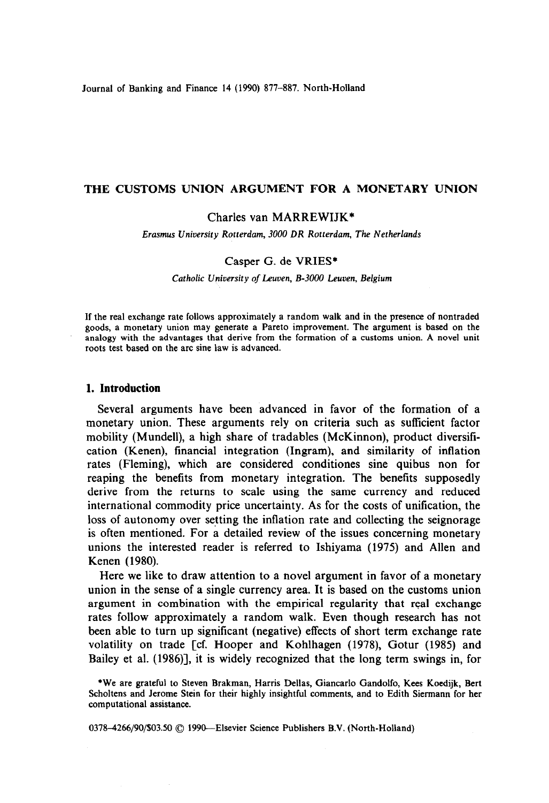Journal of Banking and Finance 14 (1990) 877-887. North-Holland

### THE CUSTOMS UNION ARGUMENT FOR A MONETARY UNION

## Charles van MARREWIJK\*

*Erasmus University Rotterdam, 3000 DR Rotterdam, The Netherlands* 

#### Casper G. de VRIES\*

*Catholic University of Leuuen, B-3000 Leuoen, Belgium* 

If the real exchange rate follows approximately a random walk and in the presence of nontraded goods, a monetary union may generate a Pareto improvement. The argument is based on the analogy with the advantages that derive from the formation of a customs union. A novel unit roots test based on the arc sine law is advanced.

# **1. Introduction**

Several arguments have been advanced in favor of the formation of a monetary union. These arguments rely on criteria such as sufficient factor mobility (Mundell), a high share of tradables (McKinnon), product diversification (Kenen), financial integration (Ingram), and similarity of inflation rates (Fleming), which are considered conditiones sine quibus non for reaping the benefits from monetary integration. The benefits supposedly derive from the returns to scale using the same currency and reduced international commodity price uncertainty. As for the costs of unification, the loss of autonomy over setting the inflation rate and collecting the seignorage is often mentioned. For a detailed review of the issues concerning monetary unions the interested reader is referred to Ishiyama (1975) and Allen and Kenen (1980).

Here we like to draw attention to a novel argument in favor of a monetary union in the sense of a single currency area. It is based on the customs union argument in combination with the empirical regularity that real exchange rates follow approximately a random walk. Even though research has not been able to turn up significant (negative) effects of short term exchange rate volatility on trade [cf. Hooper and Kohlhagen (1978), Gotur (1985) and Bailey et al. (1986)], it is widely recognized that the long term swings in, for

0378-4266/90/\$03.50 © 1990-Elsevier Science Publishers B.V. (North-Holland)

<sup>\*</sup>We are grateful to Steven Brakman, Harris Dellas, Giancarlo Gandolfo, Kees Koedijk, Bert Schohens and Jerome Stein for their highly insightful comments, and to Edith Siermann for her computational assistance.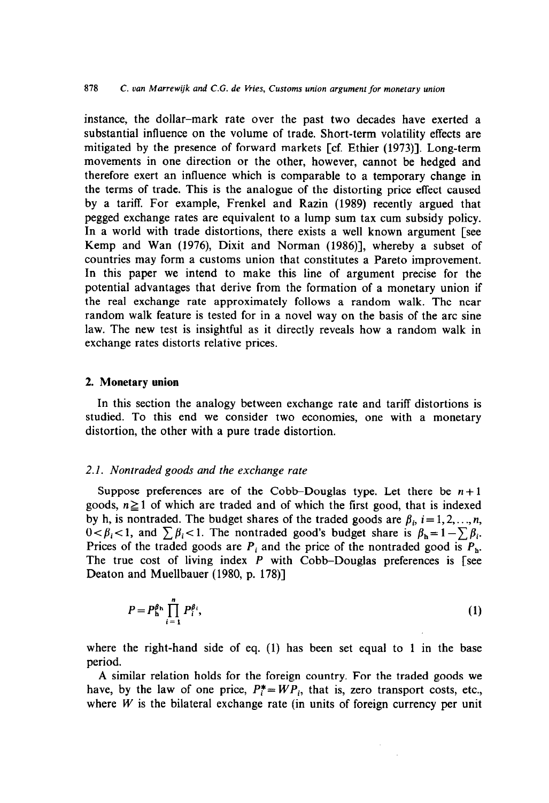instance, the dollar-mark rate over the past two decades have exerted a substantial influence on the volume of trade. Short-term volatility effects are mitigated by the presence of forward markets [cf. Ethier (1973)]. Long-term movements in one direction or the other, however, cannot be hedged and therefore exert an influence which is comparable to a temporary change in the terms of trade. This is the analogue of the distorting price effect caused by a tariff. For example, Frenkel and Razin (1989) recently argued that pegged exchange rates are equivalent to a lump sum tax cum subsidy policy. In a world with trade distortions, there exists a well known argument [see Kemp and Wan (1976), Dixit and Norman (1986)], whereby a subset of countries may form a customs union that constitutes a Pareto improvement. In this paper we intend to make this line of argument precise for the potential advantages that derive from the formation of a monetary union if the real exchange rate approximately follows a random walk. The near random walk feature is tested for in a novel way on the basis of the arc sine law. The new test is insightful as it directly reveals how a random walk in exchange rates distorts relative prices.

### 2. **Monetary union**

In this section the analogy between exchange rate and tariff distortions is studied. To this end we consider two economies, one with a monetary distortion, the other with a pure trade distortion.

## **2.1.** *Nontraded goods and the exchange rate*

Suppose preferences are of the Cobb-Douglas type. Let there be  $n+1$ goods,  $n \geq 1$  of which are traded and of which the first good, that is indexed by h, is nontraded. The budget shares of the traded goods are  $\beta_i$ ,  $i = 1, 2, \ldots, n$ ,  $0 < \beta_i < 1$ , and  $\sum \beta_i < 1$ . The nontraded good's budget share is  $\beta_h = 1 - \sum \beta_i$ . Prices of the traded goods are  $P_i$  and the price of the nontraded good is  $P_h$ . The true cost of living index *P* with Cobb-Douglas preferences is [see Deaton and Muellbauer (1980, p. 178)]

$$
P = P_h^{\beta_h} \prod_{i=1}^n P_i^{\beta_i},\tag{1}
$$

where the right-hand side of eq. (1) has been set equal to 1 in the base period.

A similar relation holds for the foreign country. For the traded goods we have, by the law of one price,  $P_i^* = WP_i$ , that is, zero transport costs, etc., where  $W$  is the bilateral exchange rate (in units of foreign currency per unit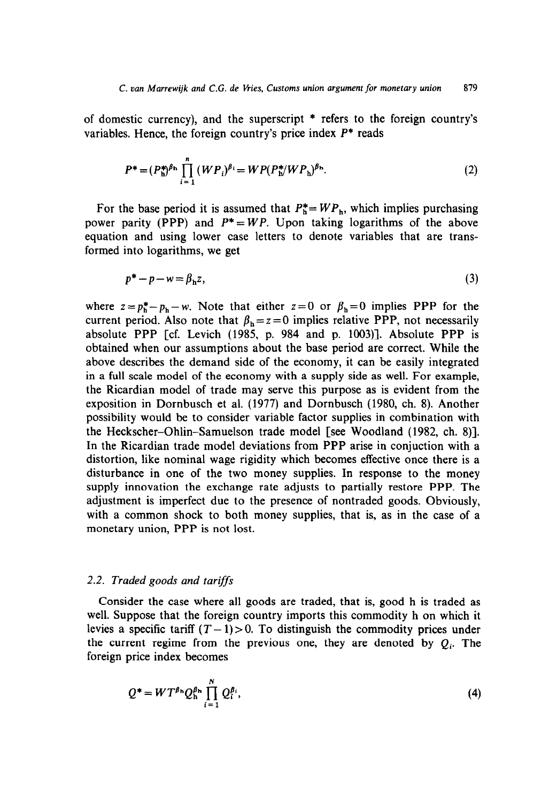of domestic currency), and the superscript \* refers to the foreign country's variables. Hence, the foreign country's price index  $P^*$  reads

$$
P^* = (P_h^*)^{\beta_h} \prod_{i=1}^n (WP_i)^{\beta_i} = WP(P_h^*/WP_h)^{\beta_h}.
$$
 (2)

For the base period it is assumed that  $P_h^* = WP_h$ , which implies purchasing power parity (PPP) and  $P^* = WP$ . Upon taking logarithms of the above equation and using lower case letters to denote variables that are transformed into logarithms, we get

$$
p^* - p - w = \beta_h z,\tag{3}
$$

where  $z = p_h^* - p_h - w$ . Note that either  $z = 0$  or  $\beta_h = 0$  implies PPP for the current period. Also note that  $\beta_h = z = 0$  implies relative PPP, not necessarily absolute PPP [cf. Levich (1985, p. 984 and p. 1003)]. Absolute PPP is obtained when our assumptions about the base period are correct. While the above describes the demand side of the economy, it can be easily integrated in a full scale model of the economy with a supply side as well. For example, the Ricardian mode1 of trade may serve this purpose as is evident from the exposition in Dornbusch et al. (1977) and Dornbusch (1980, ch. 8). Another possibility would be to consider variable factor supplies in combination with the Heckscher-Ohlin-Samuelson trade mode1 [see Woodland (1982, ch. 8)]. In the Ricardian trade model deviations from PPP arise in conjuction with a distortion, like nominal wage rigidity which becomes effective once there is a disturbance in one of the two money supplies. In response to the money supply innovation the exchange rate adjusts to partially restore PPP. The adjustment is imperfect due to the presence of nontraded goods. Obviously, with a common shock to both money supplies, that is, as in the case of a monetary union, PPP is not lost.

#### 2.2. *Traded goods and tarifSs*

Consider the case where all goods are traded, that is, good h is traded as well. Suppose that the foreign country imports this commodity h on which it levies a specific tariff  $(T - 1) > 0$ . To distinguish the commodity prices under the current regime from the previous one, they are denoted by  $Q_i$ . The foreign price index becomes

$$
Q^* = W T^{\beta_n} Q_h^{\beta_n} \prod_{i=1}^N Q_i^{\beta_i}, \qquad (4)
$$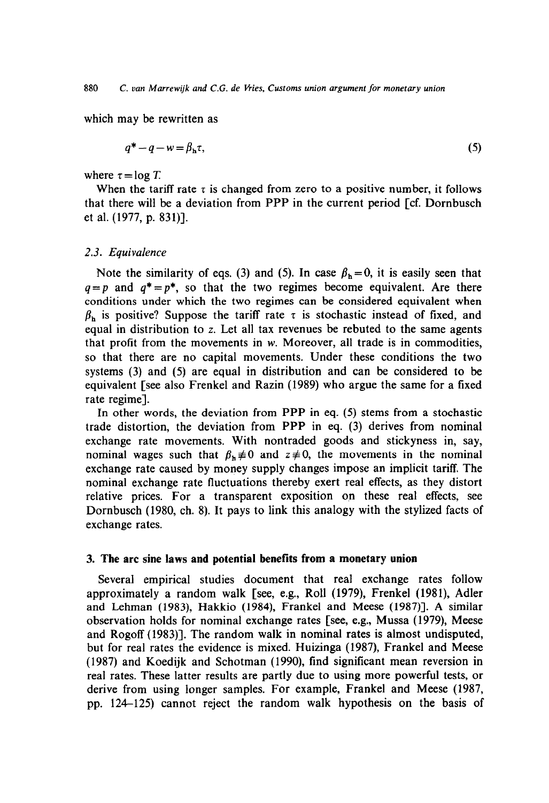which may be rewritten as

$$
q^* - q - w = \beta_h \tau,\tag{5}
$$

where  $\tau = \log T$ .

When the tariff rate  $\tau$  is changed from zero to a positive number, it follows that there will be a deviation from PPP in the current period [cf. Dornbusch et al. (1977, p. 831)].

## 2.3. *Equivalence*

Note the similarity of eqs. (3) and (5). In case  $\beta_h=0$ , it is easily seen that  $q=p$  and  $q^*=p^*$ , so that the two regimes become equivalent. Are there conditions under which the two regimes can be considered equivalent when  $\beta_h$  is positive? Suppose the tariff rate  $\tau$  is stochastic instead of fixed, and equal in distribution to z. Let all tax revenues be rebuted to the same agents that profit from the movements in  $w$ . Moreover, all trade is in commodities, so that there are no capital movements. Under these conditions the two systems (3) and (5) are equal in distribution and can be considered to be equivalent [see also Frenkel and Razin (1989) who argue the same for a fixed rate regime].

In other words, the deviation from PPP in eq. (5) stems from a stochastic trade distortion, the deviation from PPP in eq. (3) derives from nominal exchange rate movements. With nontraded goods and stickyness in, say, nominal wages such that  $\beta_h \neq 0$  and  $z \neq 0$ , the movements in the nominal exchange rate caused by money supply changes impose an implicit tariff. The nominal exchange rate fluctuations thereby exert real effects, as they distort relative prices. For a transparent exposition op these real effects, see Dornbusch (1980, ch. 8). It pays to link this analogy with the stylized facts of exchange rates.

#### 3. **The arc sine laws and potential benefits from a monetary union**

Several empirical studies document that real exchange rates follow approximately a random walk [see, e.g., Roll (1979), Frenkel (1981), Adler and Lehman (1983), Hakkio (1984), Frankel and Meese (1987)]. A similar observation holds for nominal exchange rates [see, e.g., Mussa (1979), Meese and Rogoff (1983)]. The random walk in nominal rates is almost undisputed, but for real rates the evidence is mixed. Huizinga (1987), Frankel and Meese (1987) and Koedijk and Schotman (1990), find significant mean reversion in real rates. These latter results are partly due to using more powerful tests, or derive from using longer samples. For example, Frankel and Meese (1987, pp. 124-125) cannot reject the random walk hypothesis on the basis of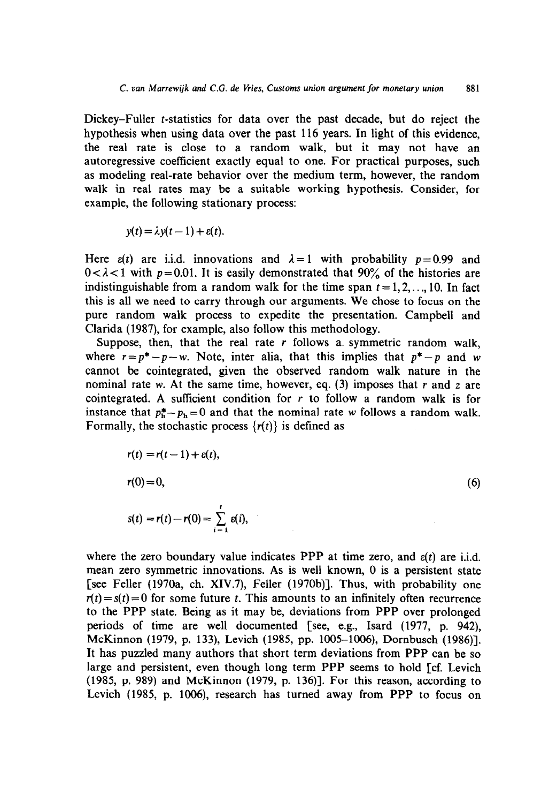Dickey-Fuller t-statistics for data over the past decade, but do reject the hypothesis when using data over the past 116 years. In light of this evidence, the real rate is close to a random walk, but it may not have an autoregressive coefficient exactly equal to one. For practical purposes, such as modeling real-rate behavior over the medium term, however, the random walk in real rates may be a suitable working hypothesis. Consider, for example, the following stationary process:

$$
y(t) = \lambda y(t-1) + \varepsilon(t).
$$

Here  $\varepsilon(t)$  are i.i.d. innovations and  $\lambda = 1$  with probability  $p = 0.99$  and  $0 < \lambda < 1$  with  $p = 0.01$ . It is easily demonstrated that  $90\%$  of the histories are indistinguishable from a random walk for the time span  $t = 1, 2, \ldots, 10$ . In fact this is all we need to carry through our arguments. We chose to focus on the pure random walk process to expedite the presentation. Campbell and Clarida (1987), for example, also follow this methodology.

Suppose, then, that the real rate  $r$  follows a symmetric random walk, where  $r = p^* - p - w$ . Note, inter alia, that this implies that  $p^* - p$  and w cannot be cointegrated, given the observed random walk nature in the nominal rate w. At the same time, however, eq. (3) imposes that *r* and z are cointegrated. A sufficient condition for  $r$  to follow a random walk is for instance that  $p_h^* - p_h = 0$  and that the nominal rate w follows a random walk. Formally, the stochastic process  $\{r(t)\}\$ is defined as

$$
r(t) = r(t-1) + \varepsilon(t),
$$
  
\n
$$
r(0) = 0,
$$
  
\n
$$
s(t) = r(t) - r(0) = \sum_{i=1}^{t} \varepsilon(i),
$$
 (6)

where the zero boundary value indicates PPP at time zero, and  $\varepsilon(t)$  are i.i.d. mean zero symmetric innovations. As is well known, 0 is a persistent state [see Feller (1970a, ch. XIV.7), Feller (1970b)l. Thus, with probability one  $r(t) = s(t) = 0$  for some future t. This amounts to an infinitely often recurrence to the PPP state. Being as it may be, deviations from PPP over prolonged periods of time are well documented [see, e.g., Isard (1977, p. 942), McKinnon (1979, p. 133), Levich (1985, pp. 1005-1006), Dornbusch (1986)]. It has puzzled many authors that short term deviations from PPP can be so large and persistent, even though long term PPP seems to hold [cf. Levich (1985, p. 989) and McKinnon (1979, p. 136)]. For this reason, according to Levich (1985, p. 1006), research has turned away from PPP to focus on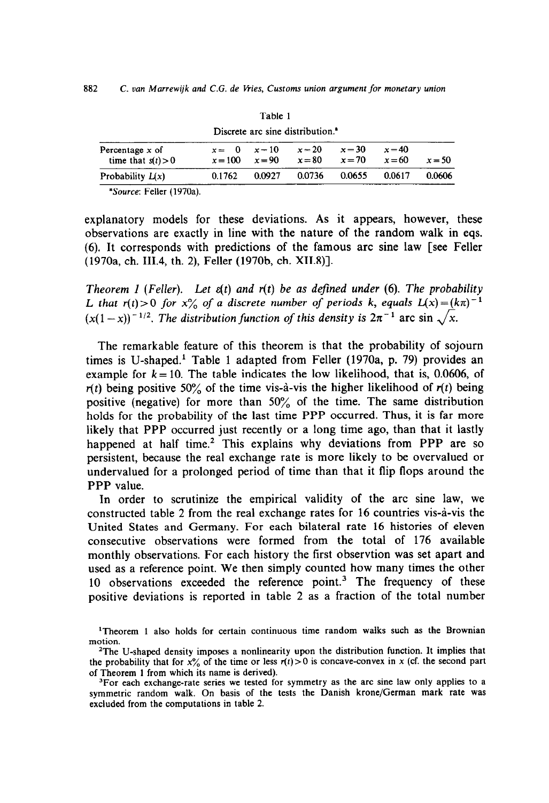| Discrete are sine distribution.           |                               |          |                      |                      |                    |          |  |  |  |  |
|-------------------------------------------|-------------------------------|----------|----------------------|----------------------|--------------------|----------|--|--|--|--|
| Percentage $x$ of<br>time that $s(t) > 0$ | $x = 0$ $x = 10$<br>$x = 100$ | $x = 90$ | $x = 20$<br>$x = 80$ | $x = 30$<br>$x = 70$ | $x = 40$<br>$x=60$ | $x = 50$ |  |  |  |  |
| Probability $L(x)$                        | 0.1762                        | 0.0927   | 0.0736               | 0.0655               | 0.0617             | 0.0606   |  |  |  |  |
| .<br>--                                   |                               |          |                      |                      |                    |          |  |  |  |  |

Table 1 Discrete arc sine distribution.'

'Source: Feller (1970a).

explanatory models for these deviations. As it appears, however, these observations are exactly in line with the nature of the random walk in eqs. (6). It corresponds with predictions of the famous arc sine law [see Feller (1970a, ch. 111.4, th. 2), Feller (1970b, ch. X11.8)].

*Theorem 1 (Feller). Let E(t) and r(t) be as defined under (6). The probability L* that  $r(t) > 0$  for  $x\frac{0}{0}$  of a discrete number of periods k, equals  $L(x) = (k\pi)^{-1}$  $(x(1-x))^{-1/2}$ . The distribution function of this density is  $2\pi^{-1}$  arc sin  $\sqrt{x}$ .

The remarkable feature of this theorem is that the probability of sojourn times is U-shaped.' Table 1 adapted from Feller (1970a, p. 79) provides an example for  $k = 10$ . The table indicates the low likelihood, that is, 0.0606, of  $r(t)$  being positive 50% of the time vis-à-vis the higher likelihood of  $r(t)$  being positive (negative) for more than 50% of the time. The same distribution holds for the probability of the last time PPP occurred. Thus, it is far more likely that PPP occurred just recently or a long time ago, than that it lastly happened at half time.<sup>2</sup> This explains why deviations from PPP are so persistent, because the real exchange rate is more likely to be overvalued or undervalued for a prolonged period of time than that it flip flops around the PPP value.

In order to scrutinize the empirical validity of the arc sine law, we constructed table 2 from the real exchange rates for 16 countries vis-à-vis the United States and Germany. For each bilateral rate 16 histories of eleven consecutive observations were formed from the total of 176 available monthly observations. For each history the first observtion was set apart and used as a reference point. We then simply counted how many times the other 10 observations exceeded the reference point.<sup>3</sup> The frequency of these positive deviations is reported in table 2 as a fraction of the total number

<sup>&#</sup>x27;Theorem 1 also holds for certain continuous time random walks such as the Brownian motion.

<sup>&</sup>lt;sup>2</sup>The U-shaped density imposes a nonlinearity upon the distribution function. It implies that the probability that for  $x_{0}^{6}$  of the time or less  $r(t) > 0$  is concave-convex in x (cf. the second part of Theorem 1 from which its name is derived).

<sup>&</sup>lt;sup>3</sup>For each exchange-rate series we tested for symmetry as the arc sine law only applies to a symmetric random walk. On basis of the tests the Danish krone/German mark rate was excluded from the computations in table 2.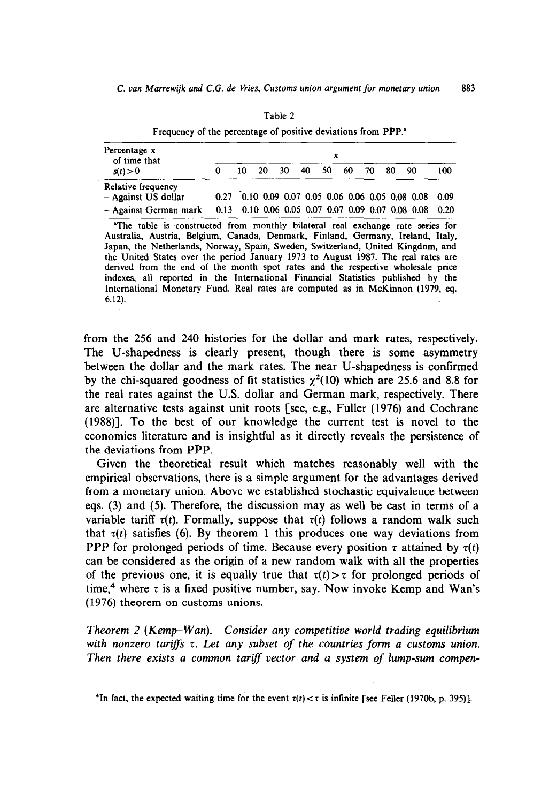| Percentage $x$<br>of time that<br>s(t) > 0                                                                                                                        | x |     |    |       |  |     |    |       |  |                                                   |      |
|-------------------------------------------------------------------------------------------------------------------------------------------------------------------|---|-----|----|-------|--|-----|----|-------|--|---------------------------------------------------|------|
|                                                                                                                                                                   | 0 | 10. | 20 | 30 40 |  | 50. | 60 | 70 80 |  | - 90                                              | 100  |
| Relative frequency                                                                                                                                                |   |     |    |       |  |     |    |       |  |                                                   |      |
| - Against US dollar                                                                                                                                               |   |     |    |       |  |     |    |       |  | 0.27 0.10 0.09 0.07 0.05 0.06 0.06 0.05 0.08 0.08 | 0.09 |
| - Against German mark 0.13 0.10 0.06 0.05 0.07 0.07 0.09 0.07 0.08 0.08                                                                                           |   |     |    |       |  |     |    |       |  |                                                   | 0.20 |
| "The table is constructed from monthly bilateral real exchange rate series for<br>Australia, Austria, Belgium, Canada, Denmark, Finland, Germany, Ireland, Italy, |   |     |    |       |  |     |    |       |  |                                                   |      |

Table 2 Frequency of the percentage of positive deviations from PPP.

Japan, the Netherlands, Norway, Spain, Sweden, Switzerland, United Kingdom, and the United States over the period January 1973 to August 1987. The real rates are derived from the end of the month spot rates and the respective wholesale price indexes, all reported in the International Financial Statistics published by the International Monetary Fund. Real rates are computed as in McKinnon (1979, eq. 6.12).

from the 256 and 240 histories for the dollar and mark rates, respectively. The U-shapedness is clearly present, though there is some asymmetry between the dollar and the mark rates. The near U-shapedness is confirmed by the chi-squared goodness of fit statistics  $\chi^2(10)$  which are 25.6 and 8.8 for the real rates against the U.S. dollar and German mark, respectively. There are alternative tests against unit roots [see, e.g., Fuller (1976) and Cochrane (1988)]. To the best of our knowledge the current test is novel to the economics literature and is insightful as it directly reveals the persistence of the deviations from PPP.

Given the theoretical result which matches reasonably well with the empirical observations, there is a simple argument for the advantages derived from a monetary union. Above we established stochastic equivalence between eqs. (3) and (5). Therefore, the discussion may as well be cast in terms of a variable tariff  $\tau(t)$ . Formally, suppose that  $\tau(t)$  follows a random walk such that  $\tau(t)$  satisfies (6). By theorem 1 this produces one way deviations from PPP for prolonged periods of time. Because every position  $\tau$  attained by  $\tau(t)$ can be considered as the origin of a new random walk with all the properties of the previous one, it is equally true that  $\tau(t) > \tau$  for prolonged periods of time,<sup>4</sup> where  $\tau$  is a fixed positive number, say. Now invoke Kemp and Wan's (1976) theorem on customs unions.

*Theorem 2 (Kemp-Wan). Consider any competitive world trading equilibrium with nonzero tariffs t. Let any subset of the countries form a customs union. Then there exists a common tarifl vector and a system of lump-sum compen-*

<sup>&</sup>lt;sup>4</sup>In fact, the expected waiting time for the event  $\tau(t) < \tau$  is infinite [see Feller (1970b, p. 395)].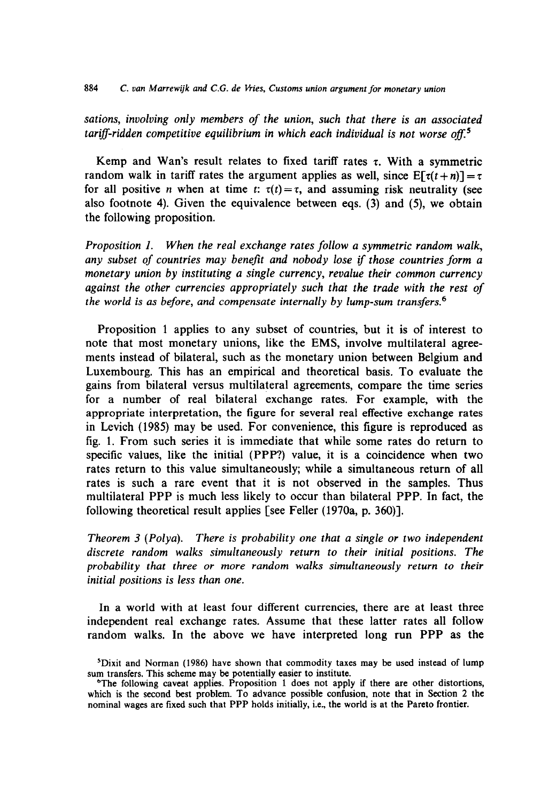*sations, involving only members of the union, such that there* is *an associated*  tariff-ridden competitive equilibrium in which each individual is not worse off.<sup>5</sup>

Kemp and Wan's result relates to fixed tariff rates  $\tau$ . With a symmetric random walk in tariff rates the argument applies as well, since  $E[f(t+n)] = \tau$ for all positive *n* when at time *t*:  $\tau(t) = \tau$ , and assuming risk neutrality (see also footnote 4). Given the equivalence between eqs. (3) and (5), we obtain the following proposition.

*Proposition I. When the real exchange rates follow a symmetric random walk, any subset of countries may benefit and nobody lose if those countries form a monetary union by instituting a single currency, revalue their common currency against the other currencies appropriately such that the trade with the rest of the world is as before, and compensate internally by lump-sum transfers.6* 

Proposition 1 applies to any subset of countries, but it is of interest to note that most monetary unions, like the EMS, involve multilateral agreements instead of bilateral, such as the monetary union between Belgium and Luxembourg. This has an empirical and theoretical basis. To evaluate the gains from bilateral versus multilateral agreements, compare the time series for a number of real bilateral exchange rates. For example, with the appropriate interpretation, the figure for several real effective exchange rates in Levich (1985) may be used. For convenience, this figure is reproduced as fig. 1. From such series it is immediate that while some rates do return to specific values, like the initial (PPP?) value, it is a coincidence when two rates return to this value simultaneously; while a simultaneous return of all rates is such a rare event that it is not observed in the samples. Thus multilateral PPP is much less likely to occur than bilateral PPP. In fact, the following theoretical result applies [see Feller (1970a, p. 360)].

*Theorem 3 (Polya). There is probability one that a single or two independent discrete random walks simultaneously return to their initial positions. The probability that three or more random walks simultaneously return to their initial positions is less than one.* 

In a world with at least four different currencies, there are at least three independent real exchange rates. Assume that these latter rates all follow random walks. In the above we have interpreted long run PPP as the

sDixit and Norman (1986) have shown that commodity taxes may be used instead of lump sum transfers. This scheme may be potentially easier to institute.

<sup>&</sup>lt;sup>o</sup>The following caveat applies. Proposition 1 does not apply if there are other distortions, which is the second best problem. To advance possible confusion, note that in Section 2 the nominal wages are tixed such that PPP holds initially, i.e., the world is at the Pareto frontier.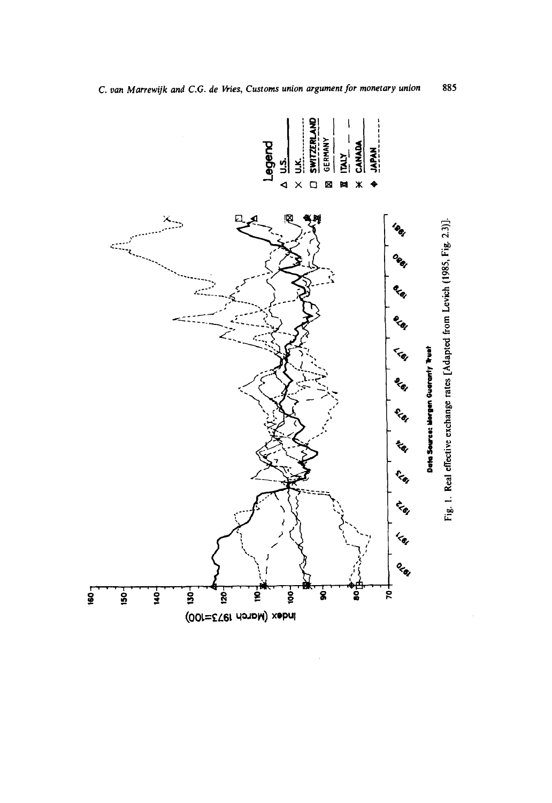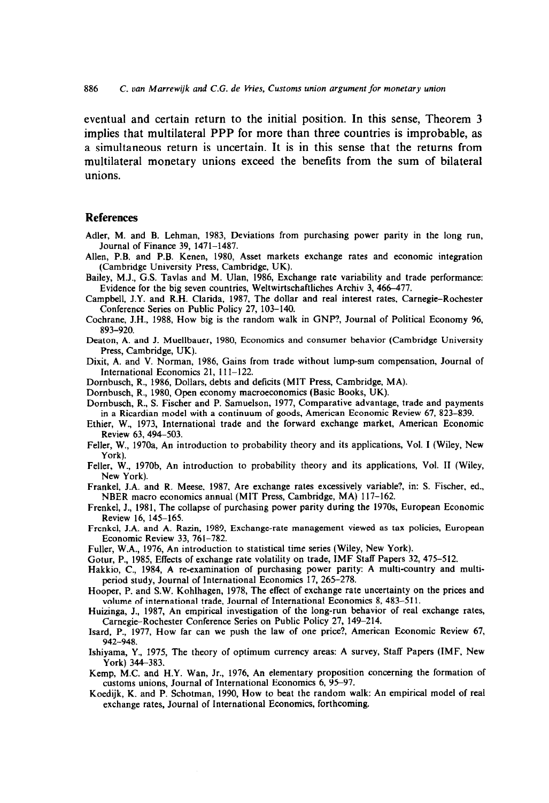eventual and certain return to the initial position. In this sense, Theorem 3 implies that multilateral PPP for more than three countries is improbable, as a simultaneous return is uncertain. It is in this sense that the returns from multilateral monetary unions exceed the benefits from the sum of bilateral unions.

#### **References**

- Adler, M. and B. Lehman, 1983, Deviations from purchasing power parity in the long run, Journal of Finance 39, 1471-1487.
- Allen, P.B. and P.B. Kenen, 1980, Asset markets exchange rates and economic integration (Cambridge University Press, Cambridge, UK).
- Bailey, M.J., G.S. Tavlas and M. Ulan, 1986, Exchange rate variability and trade performance: Evidence for the big seven countries, Weltwirtschaftliches Archiv 3, 466-477.
- Campbell, J.Y. and R.H. Clarida, 1987, The dollar and real interest rates, Carnegie-Rochester Conference Series on Public Policy 27, 103-140.
- Cochrane, J.H., 1988, How big is the random walk in GNP?, Journal of Political Economy 96, 893-920.
- Deaton, A. and J. Muellbauer, 1980, Economics and consumer behavior (Cambridge University Press, Cambridge, UK).
- Dixit, A. and V. Norman, 1986, Gains from trade without lump-sum compensation, Journal of International Economics 21, 111-122.
- Dornbusch, R., 1986, Dollars, debts and deficits (MIT Press, Cambridge, MA).
- Dombusch, R., 1980, Open economy macroeconomics (Basic Books, UK).
- Dombusch, R., S. Fischer and P. Samuelson, 1977, Comparative advantage, trade and payments in a Ricardian model with a continuum of goods. American Economic Review 67, 823-839.
- Ethier, W., 1973, International trade and the forward exchange market, American Economic Review 63, 494-503.
- Feller, W., 197Oa, An introduction to probability theory and its applications, Vol. I (Wiley, New York).
- Feller, W., 1970b, An introduction to probability theory and its applications, Vol. II (Wiley, New York).
- Frankel, J.A. and R. Meese, 1987, Are exchange rates excessively variable?, in: S. Fischer, ed., NBER macro economics annual (MIT Press, Cambridge, MA) 117-162.
- Frenkel, J., 1981, The collapse of purchasing power parity during the 1970s, European Economic Review 16, 145-165.
- Frenkel, J.A. and A. Razin. 1989, Exchange-rate management viewed as tax policies, European Economic Review 33, 761-782.
- Fuller, W.A., 1976, An introduction to statistical time series (Wiley, New York).
- Gotur, P., 1985, Effects of exchange rate volatility on trade, IMF Staff Papers 32, 475-512.
- Hakkio, C., 1984, A re-examination of purchasing power parity: A multi-country and multiperiod study, Journal of International Economics 17, 265-278.
- Hooper, P. and S.W. Kohlhagen, 1978, The effect of exchange rate uncertainty on the prices and volume of international trade, Journal of International Economics 8, 483-511.
- Huizinga, J., 1987, An empirical investigation of the long-run behavior of real exchange rates, Carnegie-Rochester Conference Series on Public Policy 27, 149-214.
- Isard, P., 1977, How far can we push the law of one price?, American Economic Review 67, 942-948.
- Ishiyama, Y., 1975, The theory of optimum currency areas: A survey, Staff Papers (IMF, New York) 344-383.
- Kemp, M.C. and H.Y. Wan, Jr., 1976, An elementary proposition concerning the formation of customs unions, Journal of International Economics 6, 95-97.
- Koedijk, K. and P. Schotman, 1990, How to beat the random walk: An empirical model of real exchange rates, Journal of International Economics, forthcoming.